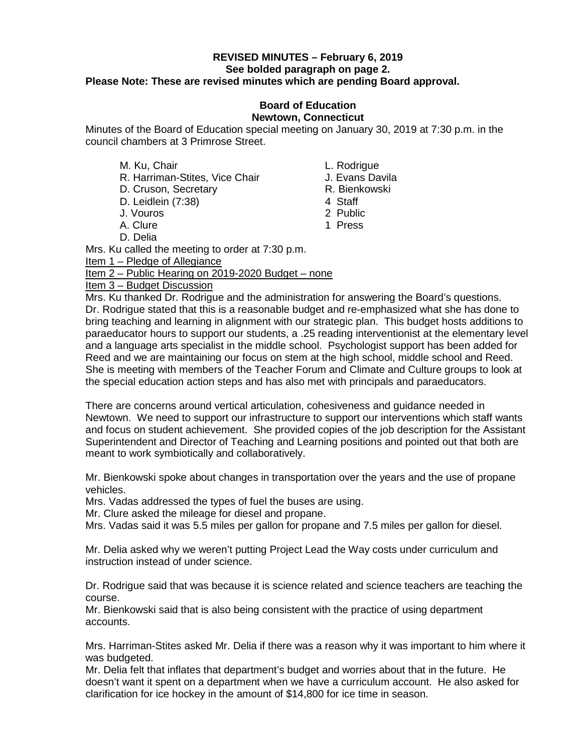### **REVISED MINUTES – February 6, 2019 See bolded paragraph on page 2. Please Note: These are revised minutes which are pending Board approval.**

### **Board of Education Newtown, Connecticut**

Minutes of the Board of Education special meeting on January 30, 2019 at 7:30 p.m. in the council chambers at 3 Primrose Street.

- 
- M. Ku, Chair<br>R. Harriman-Stites. Vice Chair **L. Rodrigue**<br>J. Evans Davila R. Harriman-Stites, Vice Chair
- D. Cruson, Secretary **R. Bienkowski**
- D. Leidlein (7:38) 4 Staff
- J. Vouros 2 Public
- A. Clure
- D. Delia

Mrs. Ku called the meeting to order at 7:30 p.m.

Item 1 – Pledge of Allegiance

### Item 2 – Public Hearing on 2019-2020 Budget – none

Item 3 – Budget Discussion

Mrs. Ku thanked Dr. Rodrigue and the administration for answering the Board's questions. Dr. Rodrigue stated that this is a reasonable budget and re-emphasized what she has done to bring teaching and learning in alignment with our strategic plan. This budget hosts additions to paraeducator hours to support our students, a .25 reading interventionist at the elementary level and a language arts specialist in the middle school. Psychologist support has been added for Reed and we are maintaining our focus on stem at the high school, middle school and Reed. She is meeting with members of the Teacher Forum and Climate and Culture groups to look at the special education action steps and has also met with principals and paraeducators.

There are concerns around vertical articulation, cohesiveness and guidance needed in Newtown. We need to support our infrastructure to support our interventions which staff wants and focus on student achievement. She provided copies of the job description for the Assistant Superintendent and Director of Teaching and Learning positions and pointed out that both are meant to work symbiotically and collaboratively.

Mr. Bienkowski spoke about changes in transportation over the years and the use of propane vehicles.

Mrs. Vadas addressed the types of fuel the buses are using.

Mr. Clure asked the mileage for diesel and propane.

Mrs. Vadas said it was 5.5 miles per gallon for propane and 7.5 miles per gallon for diesel.

Mr. Delia asked why we weren't putting Project Lead the Way costs under curriculum and instruction instead of under science.

Dr. Rodrigue said that was because it is science related and science teachers are teaching the course.

Mr. Bienkowski said that is also being consistent with the practice of using department accounts.

Mrs. Harriman-Stites asked Mr. Delia if there was a reason why it was important to him where it was budgeted.

Mr. Delia felt that inflates that department's budget and worries about that in the future. He doesn't want it spent on a department when we have a curriculum account. He also asked for clarification for ice hockey in the amount of \$14,800 for ice time in season.

- 
- 
- 
- 
- 
-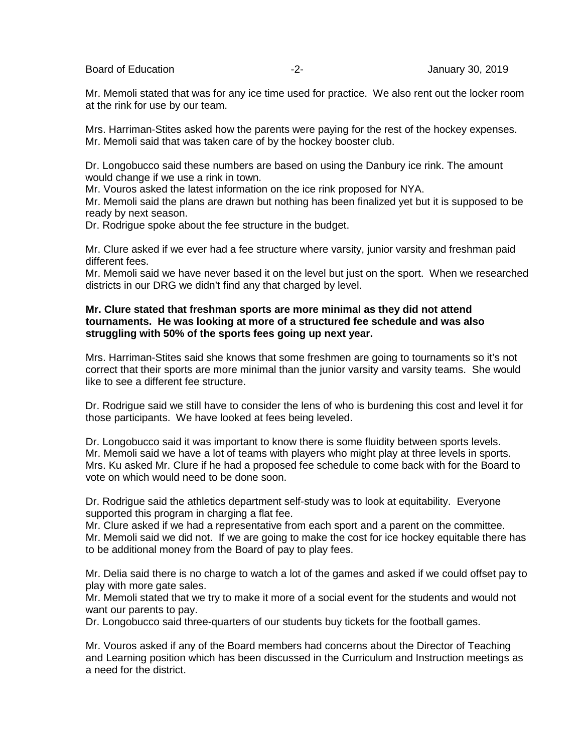Board of Education **-2-** Figure 2. The setting of Education of Education and Tanagers 2019

Mr. Memoli stated that was for any ice time used for practice. We also rent out the locker room at the rink for use by our team.

Mrs. Harriman-Stites asked how the parents were paying for the rest of the hockey expenses. Mr. Memoli said that was taken care of by the hockey booster club.

Dr. Longobucco said these numbers are based on using the Danbury ice rink. The amount would change if we use a rink in town.

Mr. Vouros asked the latest information on the ice rink proposed for NYA.

Mr. Memoli said the plans are drawn but nothing has been finalized yet but it is supposed to be ready by next season.

Dr. Rodrigue spoke about the fee structure in the budget.

Mr. Clure asked if we ever had a fee structure where varsity, junior varsity and freshman paid different fees.

Mr. Memoli said we have never based it on the level but just on the sport. When we researched districts in our DRG we didn't find any that charged by level.

### **Mr. Clure stated that freshman sports are more minimal as they did not attend tournaments. He was looking at more of a structured fee schedule and was also struggling with 50% of the sports fees going up next year.**

Mrs. Harriman-Stites said she knows that some freshmen are going to tournaments so it's not correct that their sports are more minimal than the junior varsity and varsity teams. She would like to see a different fee structure.

Dr. Rodrigue said we still have to consider the lens of who is burdening this cost and level it for those participants. We have looked at fees being leveled.

Dr. Longobucco said it was important to know there is some fluidity between sports levels. Mr. Memoli said we have a lot of teams with players who might play at three levels in sports. Mrs. Ku asked Mr. Clure if he had a proposed fee schedule to come back with for the Board to vote on which would need to be done soon.

Dr. Rodrigue said the athletics department self-study was to look at equitability. Everyone supported this program in charging a flat fee.

Mr. Clure asked if we had a representative from each sport and a parent on the committee. Mr. Memoli said we did not. If we are going to make the cost for ice hockey equitable there has to be additional money from the Board of pay to play fees.

Mr. Delia said there is no charge to watch a lot of the games and asked if we could offset pay to play with more gate sales.

Mr. Memoli stated that we try to make it more of a social event for the students and would not want our parents to pay.

Dr. Longobucco said three-quarters of our students buy tickets for the football games.

Mr. Vouros asked if any of the Board members had concerns about the Director of Teaching and Learning position which has been discussed in the Curriculum and Instruction meetings as a need for the district.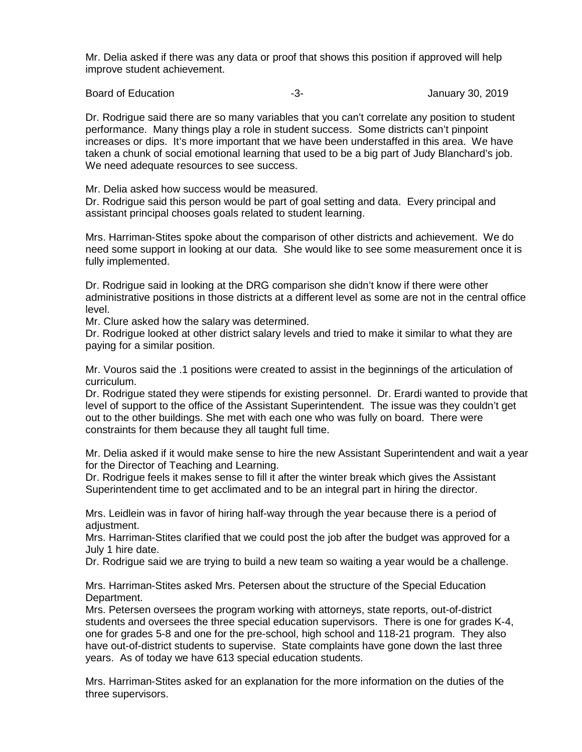Mr. Delia asked if there was any data or proof that shows this position if approved will help improve student achievement.

Board of Education **Contract Contract Contract Contract Contract Contract Contract Contract Contract Contract Contract Contract Contract Contract Contract Contract Contract Contract Contract Contract Contract Contract Cont** 

Dr. Rodrigue said there are so many variables that you can't correlate any position to student performance. Many things play a role in student success. Some districts can't pinpoint increases or dips. It's more important that we have been understaffed in this area. We have taken a chunk of social emotional learning that used to be a big part of Judy Blanchard's job. We need adequate resources to see success.

Mr. Delia asked how success would be measured.

Dr. Rodrigue said this person would be part of goal setting and data. Every principal and assistant principal chooses goals related to student learning.

Mrs. Harriman-Stites spoke about the comparison of other districts and achievement. We do need some support in looking at our data. She would like to see some measurement once it is fully implemented.

Dr. Rodrigue said in looking at the DRG comparison she didn't know if there were other administrative positions in those districts at a different level as some are not in the central office level.

Mr. Clure asked how the salary was determined.

Dr. Rodrigue looked at other district salary levels and tried to make it similar to what they are paying for a similar position.

Mr. Vouros said the .1 positions were created to assist in the beginnings of the articulation of curriculum.

Dr. Rodrigue stated they were stipends for existing personnel. Dr. Erardi wanted to provide that level of support to the office of the Assistant Superintendent. The issue was they couldn't get out to the other buildings. She met with each one who was fully on board. There were constraints for them because they all taught full time.

Mr. Delia asked if it would make sense to hire the new Assistant Superintendent and wait a year for the Director of Teaching and Learning.

Dr. Rodrigue feels it makes sense to fill it after the winter break which gives the Assistant Superintendent time to get acclimated and to be an integral part in hiring the director.

Mrs. Leidlein was in favor of hiring half-way through the year because there is a period of adiustment.

Mrs. Harriman-Stites clarified that we could post the job after the budget was approved for a July 1 hire date.

Dr. Rodrigue said we are trying to build a new team so waiting a year would be a challenge.

Mrs. Harriman-Stites asked Mrs. Petersen about the structure of the Special Education Department.

Mrs. Petersen oversees the program working with attorneys, state reports, out-of-district students and oversees the three special education supervisors. There is one for grades K-4, one for grades 5-8 and one for the pre-school, high school and 118-21 program. They also have out-of-district students to supervise. State complaints have gone down the last three years. As of today we have 613 special education students.

Mrs. Harriman-Stites asked for an explanation for the more information on the duties of the three supervisors.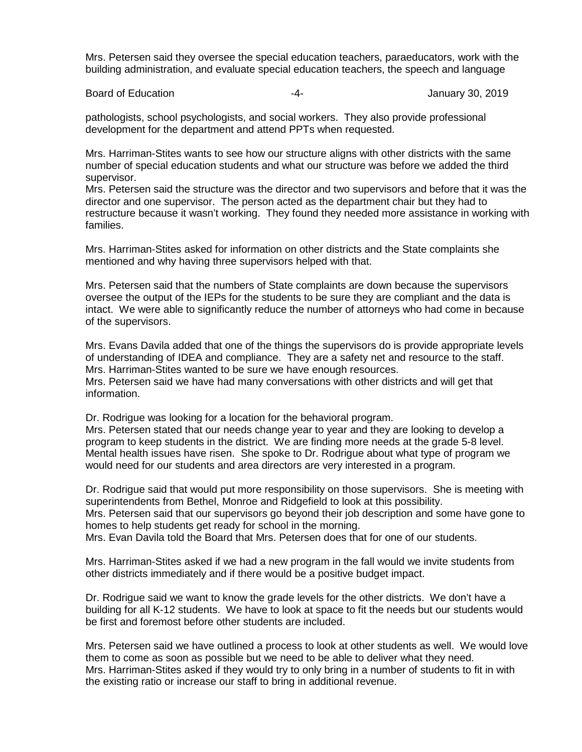Mrs. Petersen said they oversee the special education teachers, paraeducators, work with the building administration, and evaluate special education teachers, the speech and language

Board of Education **-4-** Figure 2019 **-4-** All anuary 30, 2019

pathologists, school psychologists, and social workers. They also provide professional development for the department and attend PPTs when requested.

Mrs. Harriman-Stites wants to see how our structure aligns with other districts with the same number of special education students and what our structure was before we added the third supervisor.

Mrs. Petersen said the structure was the director and two supervisors and before that it was the director and one supervisor. The person acted as the department chair but they had to restructure because it wasn't working. They found they needed more assistance in working with families.

Mrs. Harriman-Stites asked for information on other districts and the State complaints she mentioned and why having three supervisors helped with that.

Mrs. Petersen said that the numbers of State complaints are down because the supervisors oversee the output of the IEPs for the students to be sure they are compliant and the data is intact. We were able to significantly reduce the number of attorneys who had come in because of the supervisors.

Mrs. Evans Davila added that one of the things the supervisors do is provide appropriate levels of understanding of IDEA and compliance. They are a safety net and resource to the staff. Mrs. Harriman-Stites wanted to be sure we have enough resources.

Mrs. Petersen said we have had many conversations with other districts and will get that information.

Dr. Rodrigue was looking for a location for the behavioral program. Mrs. Petersen stated that our needs change year to year and they are looking to develop a

program to keep students in the district. We are finding more needs at the grade 5-8 level. Mental health issues have risen. She spoke to Dr. Rodrigue about what type of program we would need for our students and area directors are very interested in a program.

Dr. Rodrigue said that would put more responsibility on those supervisors. She is meeting with superintendents from Bethel, Monroe and Ridgefield to look at this possibility. Mrs. Petersen said that our supervisors go beyond their job description and some have gone to homes to help students get ready for school in the morning. Mrs. Evan Davila told the Board that Mrs. Petersen does that for one of our students.

Mrs. Harriman-Stites asked if we had a new program in the fall would we invite students from other districts immediately and if there would be a positive budget impact.

Dr. Rodrigue said we want to know the grade levels for the other districts. We don't have a building for all K-12 students. We have to look at space to fit the needs but our students would be first and foremost before other students are included.

Mrs. Petersen said we have outlined a process to look at other students as well. We would love them to come as soon as possible but we need to be able to deliver what they need. Mrs. Harriman-Stites asked if they would try to only bring in a number of students to fit in with the existing ratio or increase our staff to bring in additional revenue.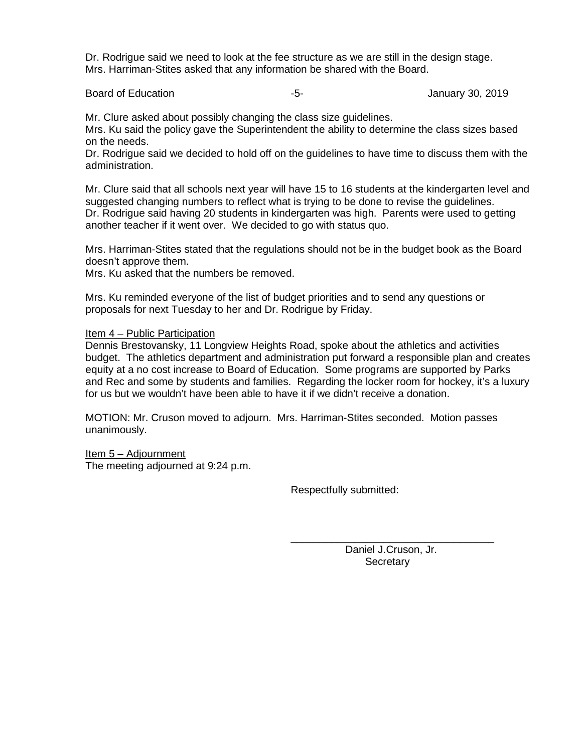Dr. Rodrigue said we need to look at the fee structure as we are still in the design stage. Mrs. Harriman-Stites asked that any information be shared with the Board.

Board of Education **Contract Contract Contract Contract Contract Contract Contract Contract Contract Contract Contract Contract Contract Contract Contract Contract Contract Contract Contract Contract Contract Contract Cont** 

Mr. Clure asked about possibly changing the class size guidelines.

Mrs. Ku said the policy gave the Superintendent the ability to determine the class sizes based on the needs.

Dr. Rodrigue said we decided to hold off on the guidelines to have time to discuss them with the administration.

Mr. Clure said that all schools next year will have 15 to 16 students at the kindergarten level and suggested changing numbers to reflect what is trying to be done to revise the guidelines. Dr. Rodrigue said having 20 students in kindergarten was high. Parents were used to getting another teacher if it went over. We decided to go with status quo.

Mrs. Harriman-Stites stated that the regulations should not be in the budget book as the Board doesn't approve them.

Mrs. Ku asked that the numbers be removed.

Mrs. Ku reminded everyone of the list of budget priorities and to send any questions or proposals for next Tuesday to her and Dr. Rodrigue by Friday.

#### Item 4 – Public Participation

Dennis Brestovansky, 11 Longview Heights Road, spoke about the athletics and activities budget. The athletics department and administration put forward a responsible plan and creates equity at a no cost increase to Board of Education. Some programs are supported by Parks and Rec and some by students and families. Regarding the locker room for hockey, it's a luxury for us but we wouldn't have been able to have it if we didn't receive a donation.

MOTION: Mr. Cruson moved to adjourn. Mrs. Harriman-Stites seconded. Motion passes unanimously.

Item 5 – Adjournment The meeting adjourned at 9:24 p.m.

Respectfully submitted:

\_\_\_\_\_\_\_\_\_\_\_\_\_\_\_\_\_\_\_\_\_\_\_\_\_\_\_\_\_\_\_\_\_\_\_ Daniel J.Cruson, Jr. **Secretary**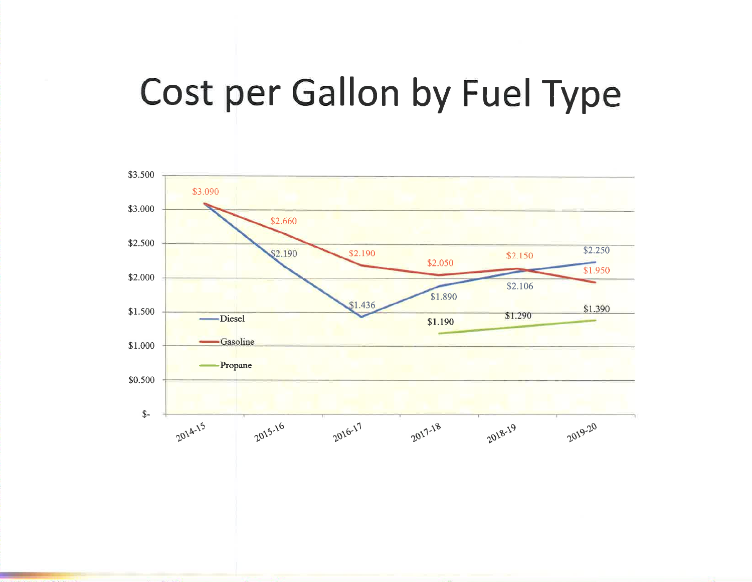# Cost per Gallon by Fuel Type

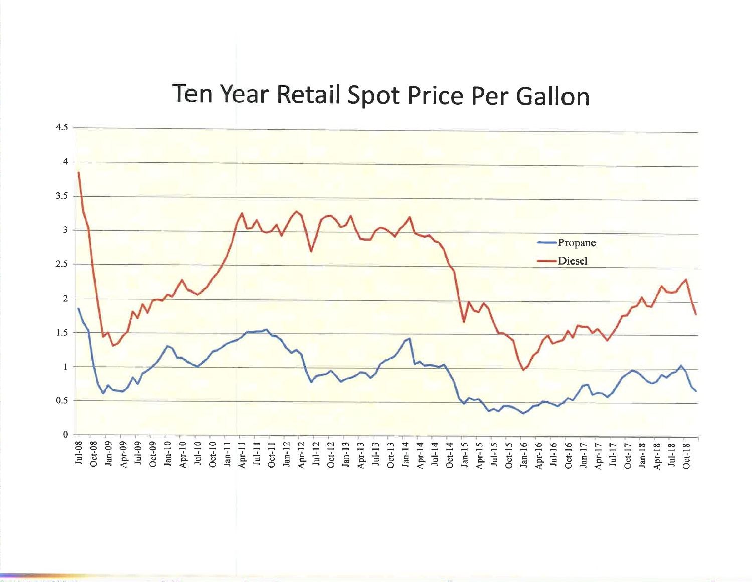## Ten Year Retail Spot Price Per Gallon

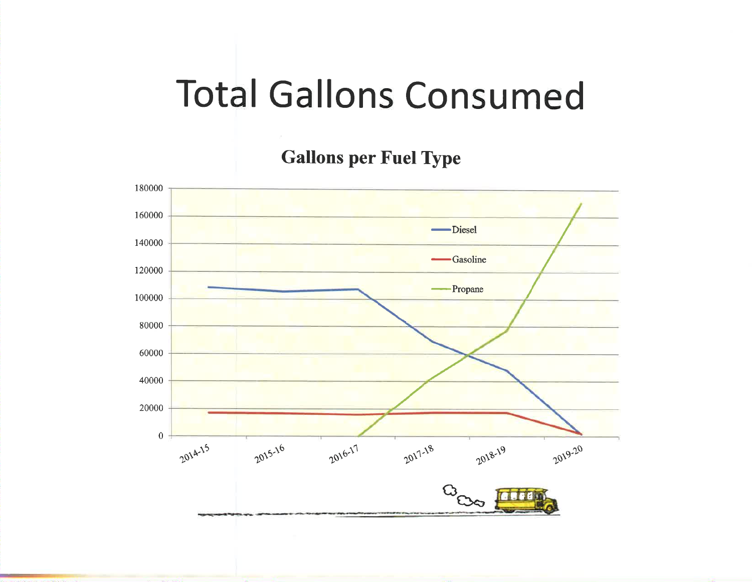# **Total Gallons Consumed**

**Gallons per Fuel Type** 

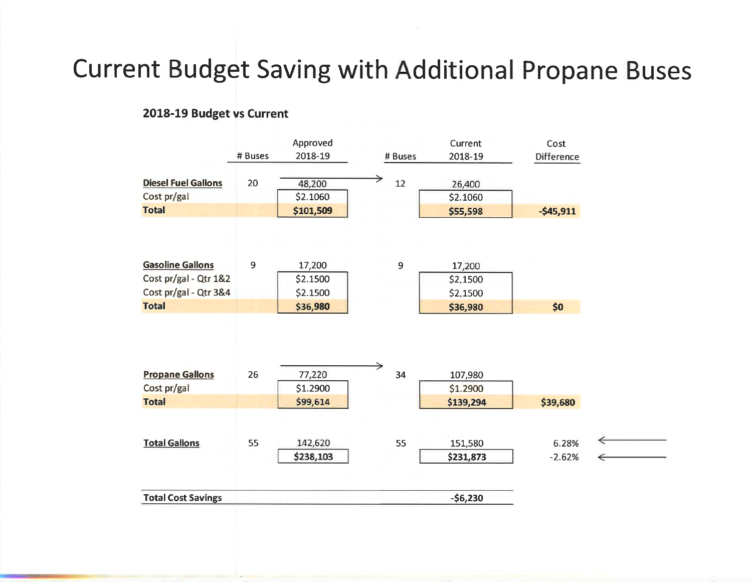## **Current Budget Saving with Additional Propane Buses**

### 2018-19 Budget vs Current

|                            |         | Approved  |         | Current   | Cost              |   |
|----------------------------|---------|-----------|---------|-----------|-------------------|---|
|                            | # Buses | 2018-19   | # Buses | 2018-19   | <b>Difference</b> |   |
| <b>Diesel Fuel Gallons</b> | 20      | 48,200    | 12      | 26,400    |                   |   |
| Cost pr/gal                |         | \$2.1060  |         | \$2.1060  |                   |   |
| <b>Total</b>               |         | \$101,509 |         | \$55,598  | $-545,911$        |   |
|                            |         |           |         |           |                   |   |
| <b>Gasoline Gallons</b>    | 9       | 17,200    | 9       | 17,200    |                   |   |
| Cost pr/gal - Qtr 1&2      |         | \$2.1500  |         | \$2.1500  |                   |   |
| Cost pr/gal - Qtr 3&4      |         | \$2.1500  |         | \$2,1500  |                   |   |
| <b>Total</b>               |         | \$36,980  |         | \$36,980  | \$0               |   |
|                            |         |           |         |           |                   |   |
| <b>Propane Gallons</b>     | 26      | 77,220    | 34      | 107,980   |                   |   |
| Cost pr/gal                |         | \$1.2900  |         | \$1.2900  |                   |   |
| <b>Total</b>               |         | \$99,614  |         | \$139,294 | \$39,680          |   |
|                            |         |           |         |           |                   | ↞ |
| <b>Total Gallons</b>       | 55      | 142,620   | 55      | 151,580   | 6.28%             |   |
|                            |         | \$238,103 |         | \$231,873 | $-2.62%$          | ← |
| <b>Total Cost Savings</b>  |         |           |         | $-56,230$ |                   |   |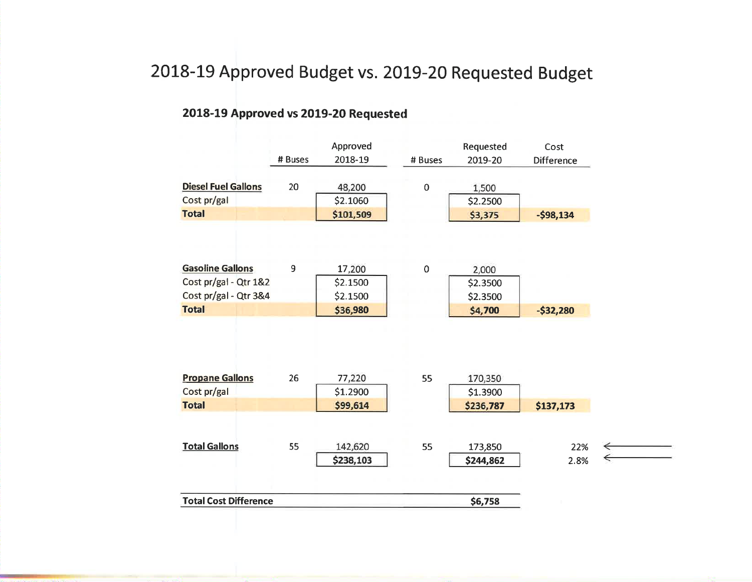### 2018-19 Approved Budget vs. 2019-20 Requested Budget

### 2018-19 Approved vs 2019-20 Requested

|                                        |         | Approved  |             | Requested | Cost              |   |
|----------------------------------------|---------|-----------|-------------|-----------|-------------------|---|
|                                        | # Buses | 2018-19   | # Buses     | 2019-20   | <b>Difference</b> |   |
| <b>Diesel Fuel Gallons</b>             | 20      | 48,200    | $\pmb{0}$   | 1,500     |                   |   |
| Cost pr/gal                            |         | \$2.1060  |             | \$2.2500  |                   |   |
| <b>Total</b>                           |         | \$101,509 |             | \$3,375   | $-598,134$        |   |
|                                        |         |           |             |           |                   |   |
| <b>Gasoline Gallons</b>                | 9       | 17,200    | $\mathbf 0$ | 2,000     |                   |   |
| Cost pr/gal - Qtr 1&2                  |         | \$2.1500  |             | \$2.3500  |                   |   |
| Cost pr/gal - Qtr 3&4                  |         | \$2.1500  |             | \$2.3500  |                   |   |
| <b>Total</b>                           |         | \$36,980  |             | \$4,700   | $-532,280$        |   |
|                                        |         |           |             |           |                   |   |
|                                        | 26      | 77,220    | 55          | 170,350   |                   |   |
| Cost pr/gal                            |         | \$1.2900  |             | \$1.3900  |                   |   |
| <b>Propane Gallons</b><br><b>Total</b> |         | \$99,614  |             | \$236,787 | \$137,173         |   |
| <b>Total Gallons</b>                   | 55      | 142,620   | 55          | 173,850   | 22%               |   |
|                                        |         | \$238,103 |             | \$244,862 | 2.8%              | ← |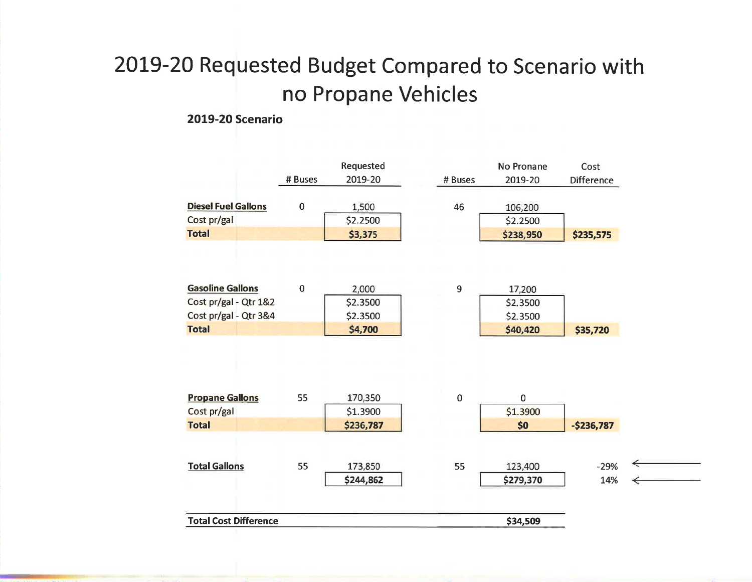### 2019-20 Requested Budget Compared to Scenario with no Propane Vehicles

### **2019-20 Scenario**

|                                       | # Buses     | Requested<br>2019-20 | # Buses     | No Pronane<br>2019-20   | Cost<br><b>Difference</b> |
|---------------------------------------|-------------|----------------------|-------------|-------------------------|---------------------------|
| <b>Diesel Fuel Gallons</b>            | $\mathbf 0$ | 1,500                | 46          | 106,200                 |                           |
| Cost pr/gal                           |             | \$2.2500             |             | \$2.2500                |                           |
| <b>Total</b>                          |             | \$3,375              |             | \$238,950               | \$235,575                 |
|                                       |             |                      |             |                         |                           |
| <b>Gasoline Gallons</b>               | $\bf 0$     | 2,000                | 9           | 17,200                  |                           |
| Cost pr/gal - Qtr 1&2                 |             | \$2.3500             |             | \$2,3500                |                           |
| Cost pr/gal - Qtr 3&4                 |             | \$2.3500             |             | \$2,3500                |                           |
|                                       |             |                      |             |                         |                           |
| <b>Total</b>                          |             | \$4,700              |             | \$40,420                | \$35,720                  |
| <b>Propane Gallons</b><br>Cost pr/gal | 55          | 170,350<br>\$1.3900  | $\mathbf 0$ | $\mathbf 0$<br>\$1.3900 |                           |
| <b>Total</b>                          |             | \$236,787            |             | \$0                     | $-$236,787$               |
| <b>Total Gallons</b>                  | 55          | 173,850              | 55          | 123,400                 | $-29%$                    |
|                                       |             | \$244,862            |             | \$279,370               | 14%                       |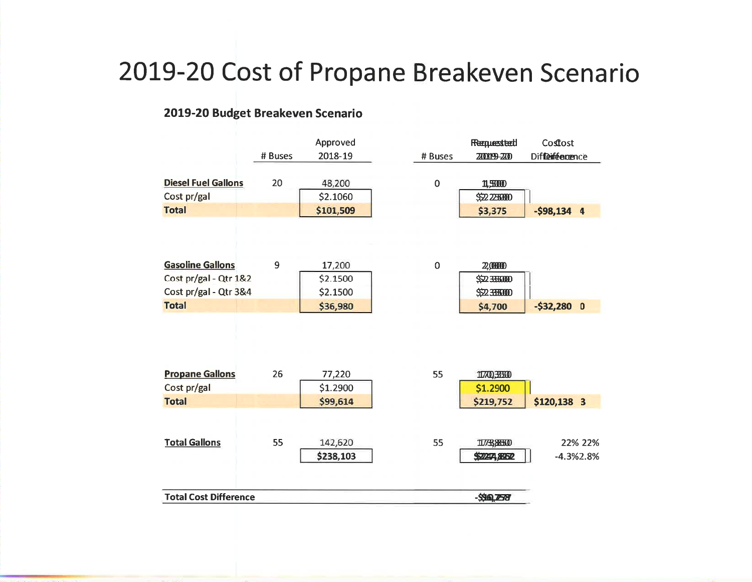## 2019-20 Cost of Propane Breakeven Scenario

### 2019-20 Budget Breakeven Scenario

|                                       | # Buses | Approved<br>2018-19  | # Buses   | Requested<br><b>ZO09-ZO</b> | Coffost<br>Diffeiféenence |
|---------------------------------------|---------|----------------------|-----------|-----------------------------|---------------------------|
| <b>Diesel Fuel Gallons</b>            | 20      | 48,200               | $\pmb{0}$ | 1,500                       |                           |
| Cost pr/gal                           |         | \$2.1060             |           | \$52225000                  |                           |
| <b>Total</b>                          |         | \$101,509            |           | \$3,375                     | $-$ \$98,134 4            |
| <b>Gasoline Gallons</b>               | 9       | 17,200               | $\pmb{0}$ | 2,0000                      |                           |
| Cost pr/gal - Qtr 1&2                 |         | \$2.1500             |           | \$52355000                  |                           |
| Cost pr/gal - Qtr 3&4                 |         | \$2.1500             |           | \$22.355000                 |                           |
| <b>Total</b>                          |         | \$36,980             |           | \$4,700                     | $-532,280$ 0              |
| <b>Propane Gallons</b><br>Cost pr/gal | 26      | 77,220<br>\$1.2900   | 55        | 11700,38500<br>\$1.2900     |                           |
| <b>Total</b>                          |         | \$99,614             |           | \$219,752                   | \$120,138 3               |
| <b>Total Gallons</b>                  | 55      | 142,620<br>\$238,103 | 55        | 1173, 8550<br>\$22274,8862  | 22% 22%<br>$-4.3\%2.8\%$  |
| <b>Total Cost Difference</b>          |         |                      |           | -\$96,259                   |                           |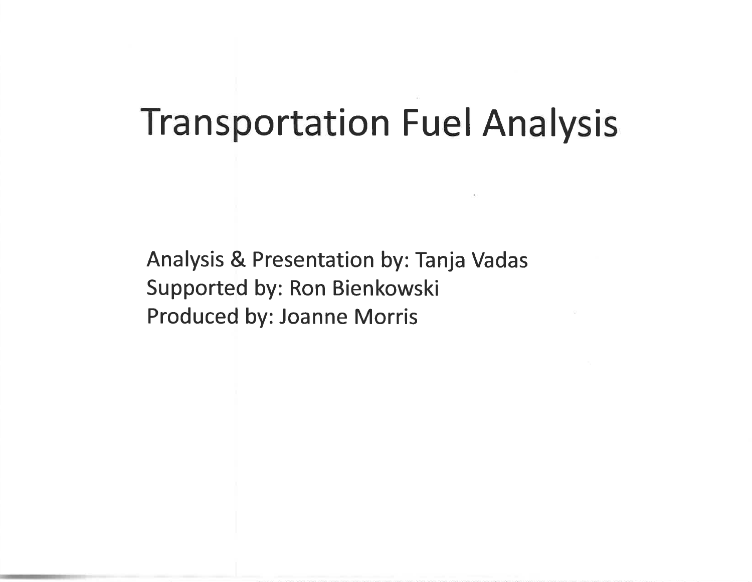## **Transportation Fuel Analysis**

**Analysis & Presentation by: Tanja Vadas** Supported by: Ron Bienkowski Produced by: Joanne Morris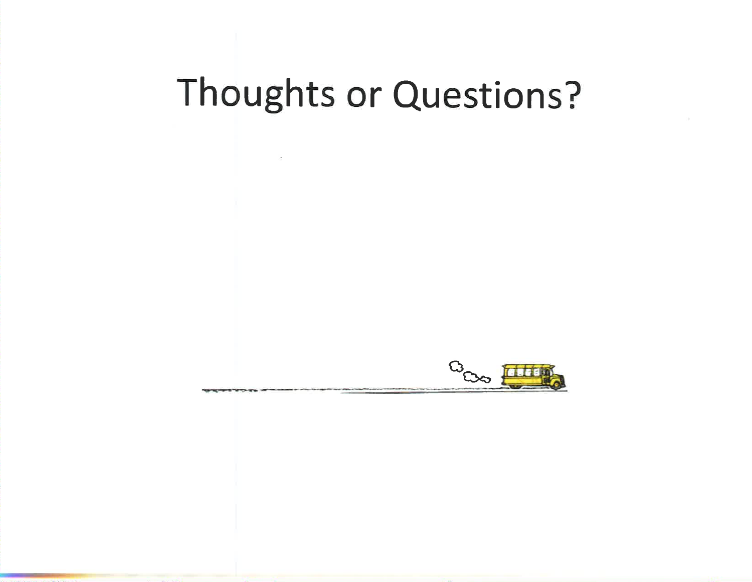# Thoughts or Questions?

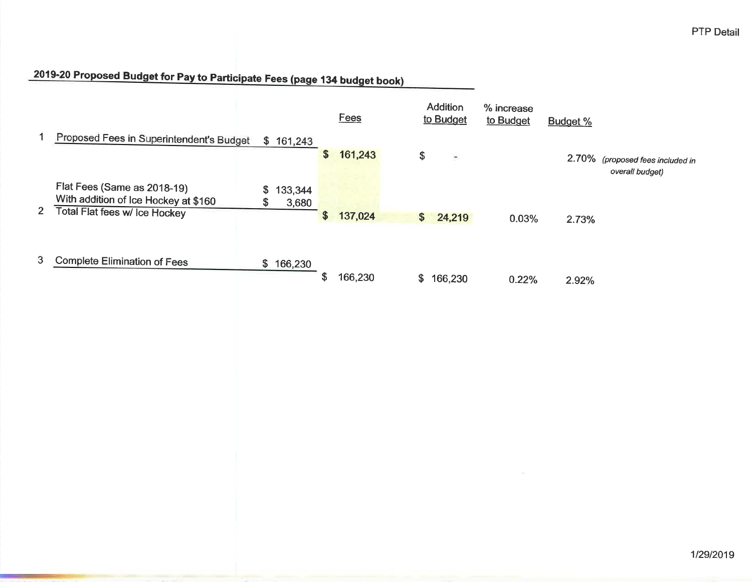### 2019-20 Proposed Budget for Pay to Participate Fees (page 134 budget book)

|              |                                                                                                      |           |                  |    | Fees    |    | <b>Addition</b><br>to Budget | % increase<br>to Budget | Budget % |                                                     |
|--------------|------------------------------------------------------------------------------------------------------|-----------|------------------|----|---------|----|------------------------------|-------------------------|----------|-----------------------------------------------------|
|              | Proposed Fees in Superintendent's Budget                                                             |           | \$161,243        | \$ | 161,243 | \$ | $\blacksquare$               |                         |          | 2.70% (proposed fees included in<br>overall budget) |
| $\mathbf{2}$ | Flat Fees (Same as 2018-19)<br>With addition of Ice Hockey at \$160<br>Total Flat fees w/ Ice Hockey | \$.<br>\$ | 133,344<br>3,680 | \$ | 137,024 | \$ | 24,219                       | 0.03%                   | 2.73%    |                                                     |
| 3            | <b>Complete Elimination of Fees</b>                                                                  |           | \$166,230        | ъD | 166,230 | S. | 166,230                      | 0.22%                   | 2.92%    |                                                     |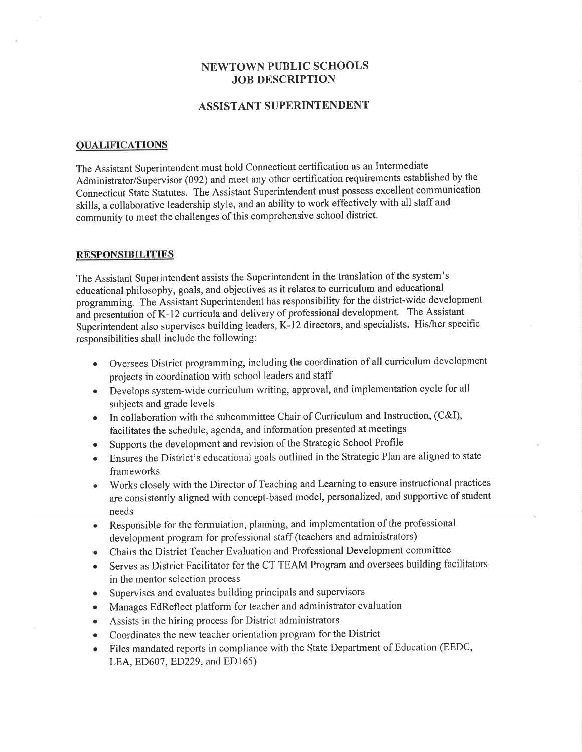### **NEWTOWN PUBLIC SCHOOLS JOB DESCRIPTION**

### **ASSISTANT SUPERINTENDENT**

#### **QUALIFICATIONS**

The Assistant Superintendent must hold Connecticut certification as an Intermediate Administrator/Supervisor (092) and meet any other certification requirements established by the Connecticut State Statutes. The Assistant Superintendent must possess excellent communication skills, a collaborative leadership style, and an ability to work effectively with all staff and community to meet the challenges of this comprehensive school district.

#### **RESPONSIBILITIES**

The Assistant Superintendent assists the Superintendent in the translation of the system's educational philosophy, goals, and objectives as it relates to curriculum and educational programming. The Assistant Superintendent has responsibility for the district-wide development and presentation of K-12 curricula and delivery of professional development. The Assistant Superintendent also supervises building leaders, K-12 directors, and specialists. His/her specific responsibilities shall include the following:

- Oversees District programming, including the coordination of all curriculum development projects in coordination with school leaders and staff
- Develops system-wide curriculum writing, approval, and implementation cycle for all subjects and grade levels
- In collaboration with the subcommittee Chair of Curriculum and Instruction, (C&I),  $\bullet$ facilitates the schedule, agenda, and information presented at meetings
- Supports the development and revision of the Strategic School Profile
- Ensures the District's educational goals outlined in the Strategic Plan are aligned to state  $\bullet$ frameworks
- Works closely with the Director of Teaching and Learning to ensure instructional practices are consistently aligned with concept-based model, personalized, and supportive of student needs
- Responsible for the formulation, planning, and implementation of the professional development program for professional staff (teachers and administrators)
- Chairs the District Teacher Evaluation and Professional Development committee  $\bullet$
- Serves as District Facilitator for the CT TEAM Program and oversees building facilitators  $\bullet$ in the mentor selection process
- Supervises and evaluates building principals and supervisors  $\bullet$
- Manages EdReflect platform for teacher and administrator evaluation  $\bullet$
- Assists in the hiring process for District administrators  $\bullet$
- Coordinates the new teacher orientation program for the District  $\bullet$
- Files mandated reports in compliance with the State Department of Education (EEDC,  $\bullet$ LEA, ED607, ED229, and ED165)